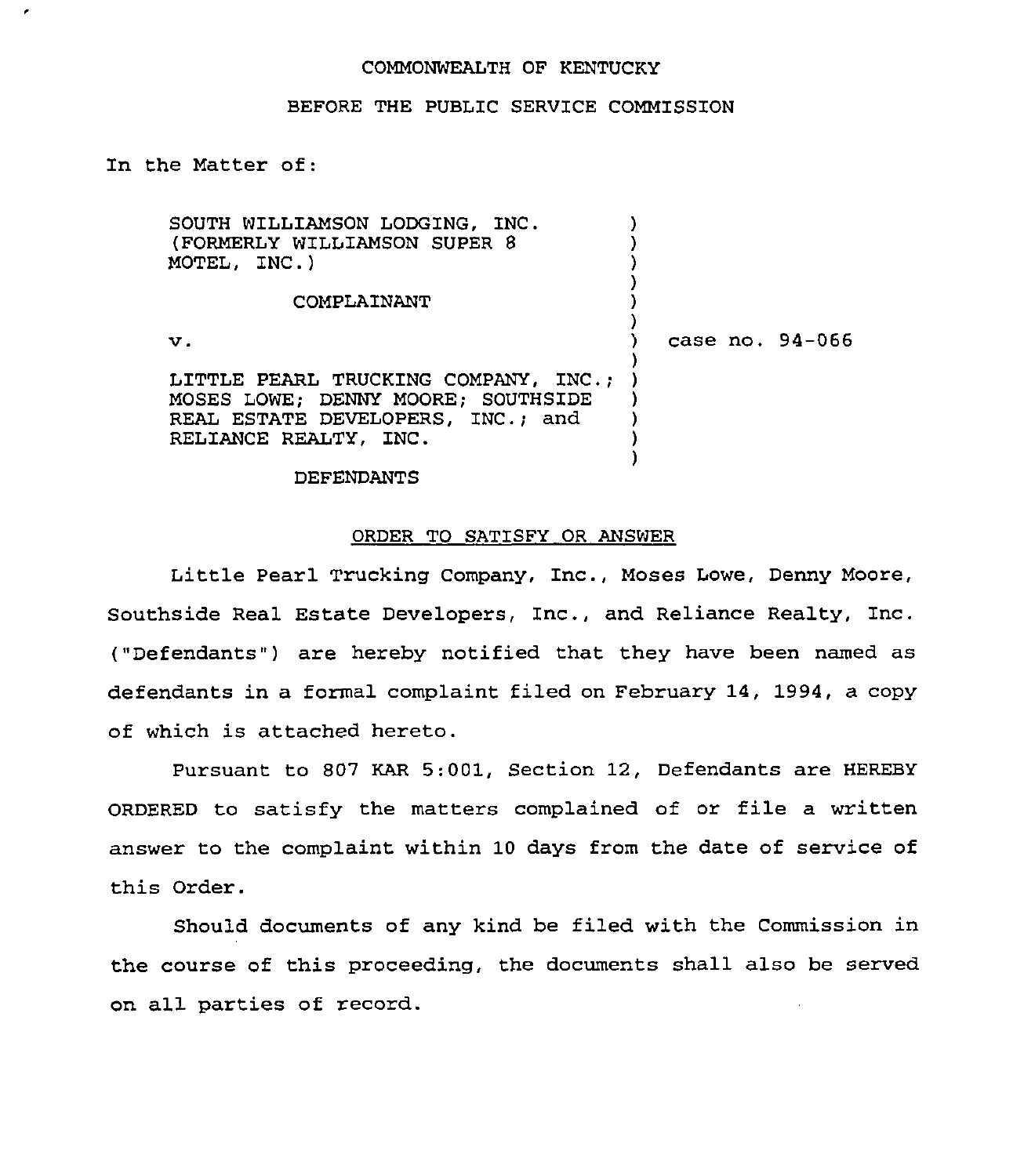### COMMONWEALTH OF KENTUCKY

### BEFORE THE PUBLIC SERVICE COMMISSION

In the Matter of:

,

| SOUTH WILLIAMSON LODGING. INC.<br>(FORMERLY WILLIAMSON SUPER 8<br>MOTEL, INC.)                                                           |                 |
|------------------------------------------------------------------------------------------------------------------------------------------|-----------------|
| COMPLAINANT                                                                                                                              |                 |
| $\mathbf v$ .                                                                                                                            | case no. 94-066 |
| LITTLE PEARL TRUCKING COMPANY, INC.:<br>MOSES LOWE; DENNY MOORE; SOUTHSIDE<br>REAL ESTATE DEVELOPERS, INC.; and<br>RELIANCE REALTY, INC. |                 |

#### DEFENDANTS

#### ORDER TO SATISFY OR ANSWER

Little Pearl Trucking Company, Inc., Moses Lowe, Denny Moore, Southside Real Estate Developers, Inc., and Reliance Realty, Inc. ("Defendants") are hereby notified that they have been named as defendants in a formal complaint filed on February 14, 1994, a copy of which is attached hereto.

Pursuant to 807 KAR 5:001, Section 12, Defendants are HEREBY ORDERED to satisfy the matters complained of or file a written answer to the complaint within 10 days from the date of service of this Order.

Should documents of any kind be filed with the Commission in the course of this proceeding, the documents shall also be served on all parties of record.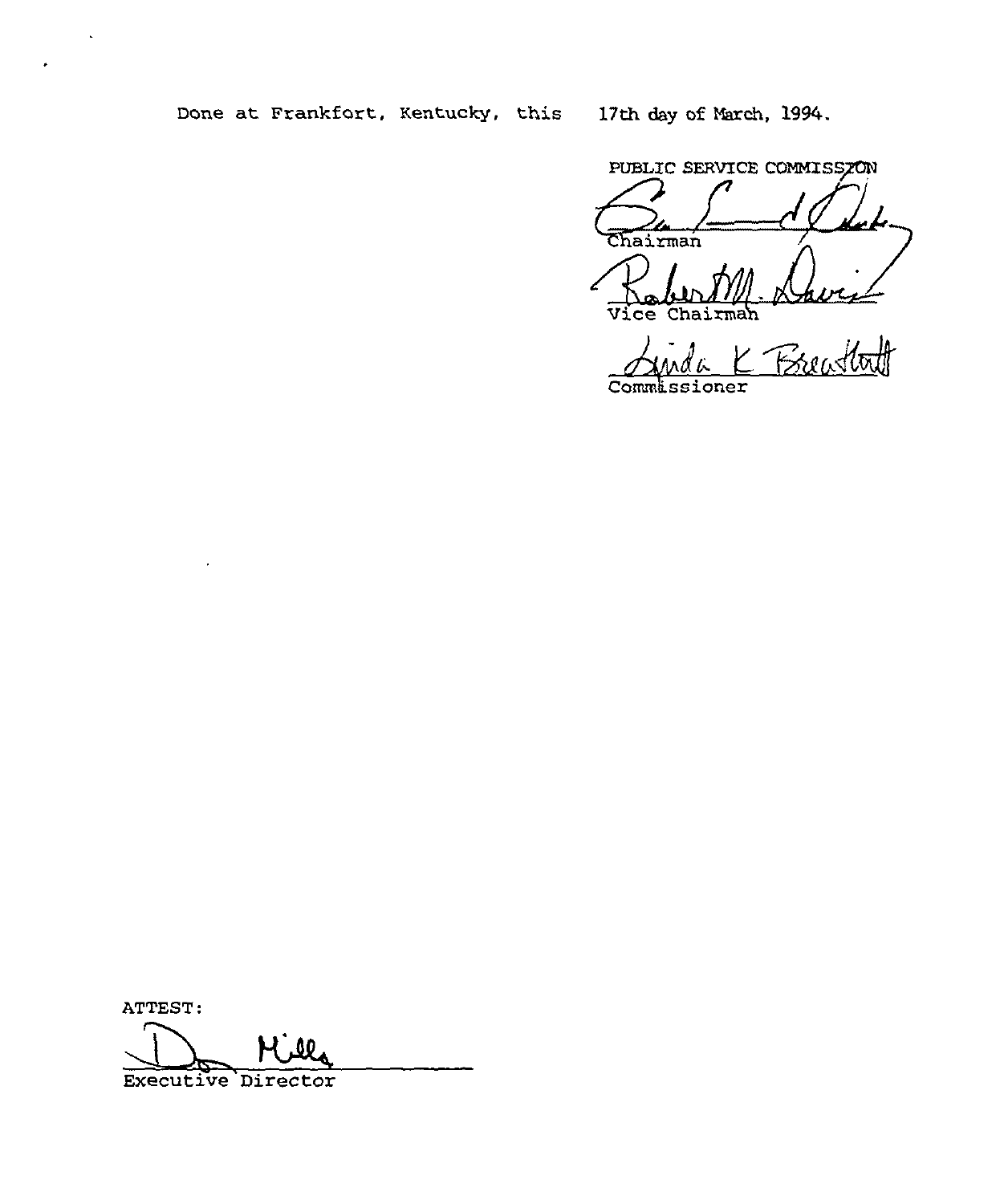Done at Frankfort, Kentucky, this 17th day of March, 1994.

PUBLIC SERVICE COMMISSZON Rabert M. Da Vice Chairman

Commlssioner

ATTEST:

80

Executive Director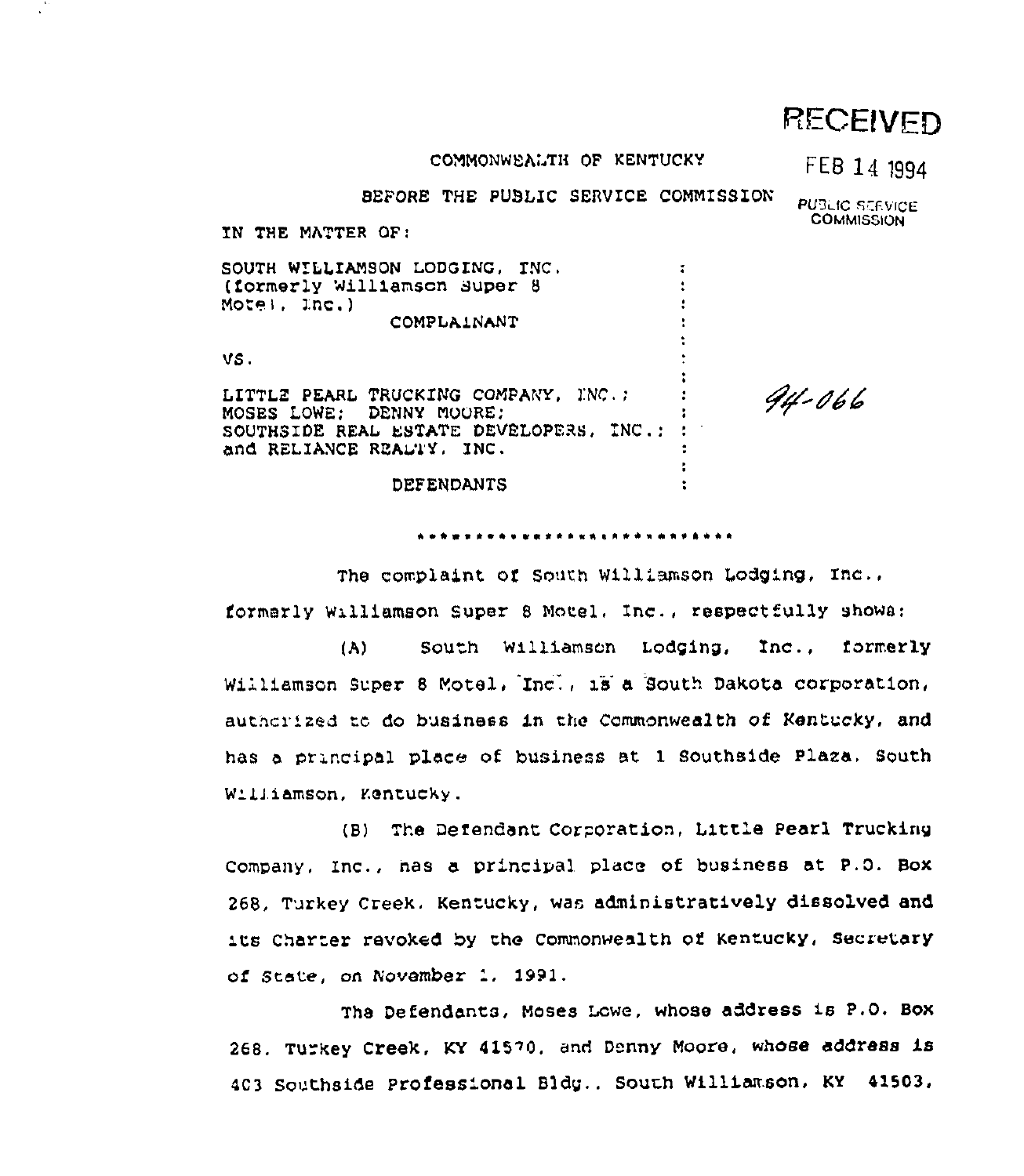# **RECEIVED**

#### COMMONWEALTH OF KENTUCKY

## FEB 14 1994

BEFORE THE PUBLIC SERVICE COMMISSION

**PUBLIC SERVICE COMMISSION** 

94-066

IN THE MATTER OF:

SOUTH WILLIAMSON LODGING, INC. (formerly Williamson Super 8 Motel, Inc.) COMPLAINANT VS.

LITTLE PEARL TRUCKING COMPANY, INC. ; MOSES LOWE: DENNY MOORE! SOUTHSIDE REAL ESTATE DEVELOPERS, INC.: : and RELIANCE REALTY, INC. ÷.

**DEFENDANTS** 

\*\*\*\*\*\*\*\*\*\*\*\*\*\*\*\*\*\*\*\*\*\*\*\*\*\*\*\*

 $\overline{\mathbf{r}}$ 

The complaint of South Williamson Lodging, Inc., formarly Williamson Super 8 Motel. Inc., respectfully shows:

South Williamson Lodging, Inc.,  $(A)$ formerly Williamson Super 8 Motel, Inc., 18 a South Dakota corporation, authorized to do business in the Commonwealth of Kentucky, and has a principal place of business at 1 Southside Plaza. South Williamson, Kentucky.

(B) The Defendant Corporation, Little Pearl Trucking Company, Inc., has a principal place of business at P.O. Box 268. Turkey Creek. Kentucky, was administratively dissolved and its Charter revoked by the Commonwealth of Kentucky, Secretary of State, on November 1, 1991.

The Defendants, Moses Lowe, whose address is P.O. Box 268. Turkey Creek, KY 41570, and Denny Moore, whose address is 403 Southside Professional Bldg., South Williamson, KY 41503,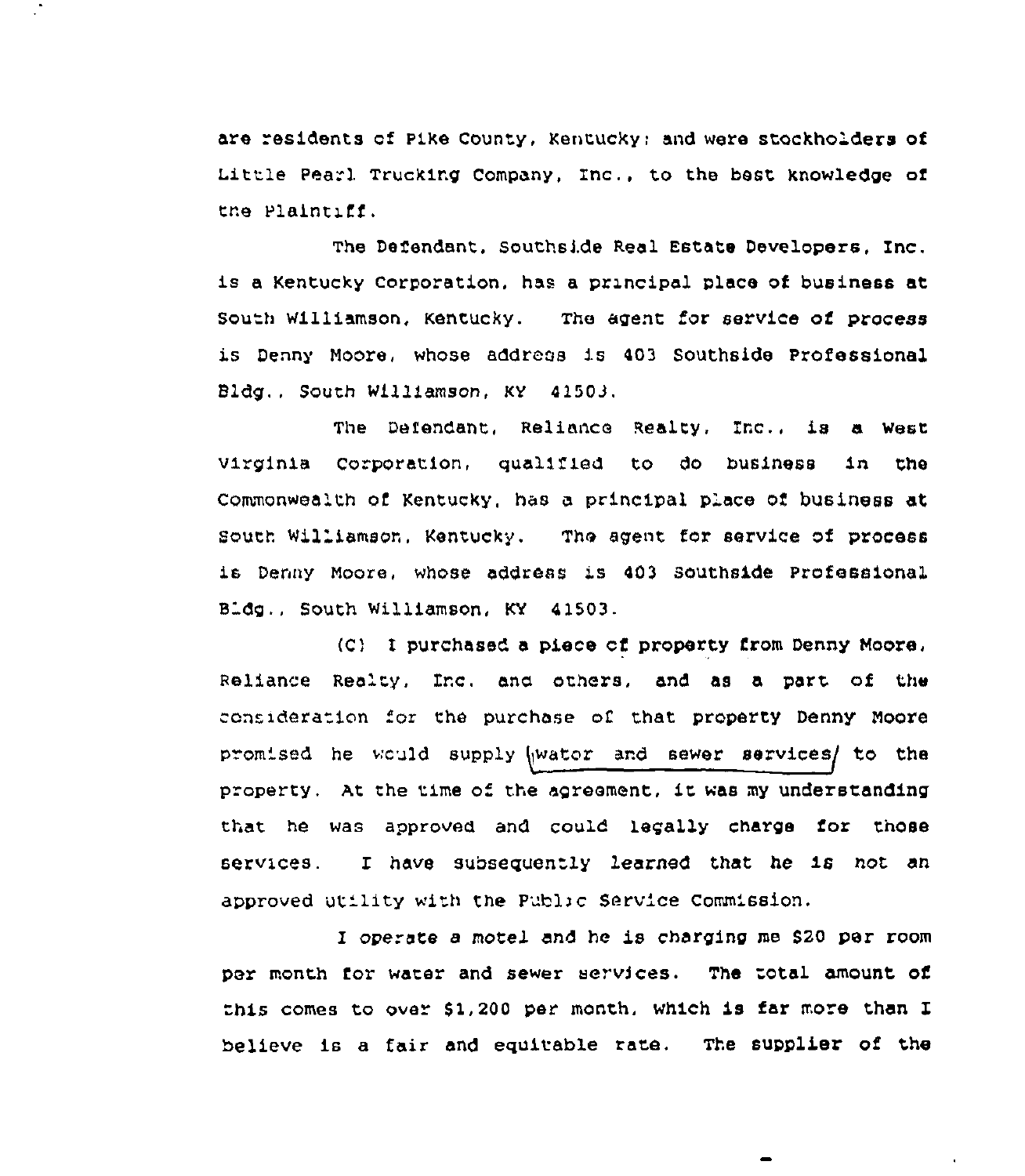are residents of Pike County, Kentucky; and were stockholders of Little Pearl Trucking Company, Inc., to the best knowledge of the Plaintiff.

The Defendant, Southside Real Estate Developers, Inc. is a Kentucky Corporation. has a prxncipal place of business at south williamson, Kentucky. The agent for service of process is Denny Moore, whose address is 403 Southside Professional Bldg., South Williamson, KY 41503.

The Defendant, Reliance Realty, Inc., is a west virginia corporation, qualified to do business in the Commonwealth of Kentucky, has a principal place of business at south wil'amson, Kentucky. The agent for sexvice of process is Denny Moore, whose address is 403 Southside Professional Bldg., South Williamson, KY 41503.

(C) <sup>1</sup> purchased a piece cf pxoperty from Denny Moore, Reliance Realty, Inc. ana orhers. and as a part of the consideration for the purchase of that property Denny Moore promised he would supply wator and sewer services/ to the property. At the time of the agreement, it was my understanding that he was approved and could legally charge for those services. f have subsequently learned that he is not an approved utility with the Public Service Commission.

I operate <sup>a</sup> motel and he is charging me S20 per room per month for water and sewer services. The total amount of this comes to over \$1,200 per month, which is far more than I believe is a fair and equitable rate. The supplier of the